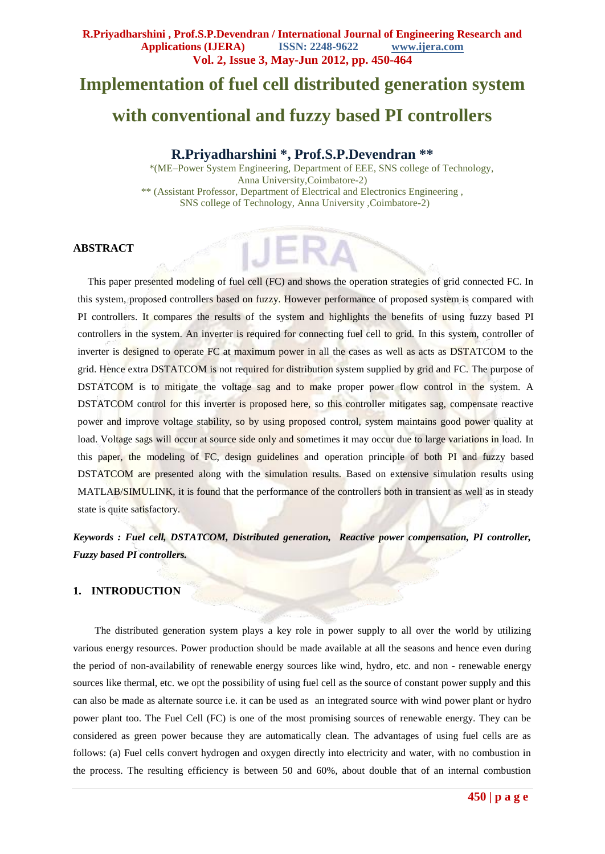# **Implementation of fuel cell distributed generation system with conventional and fuzzy based PI controllers**

# **R.Priyadharshini \*, Prof.S.P.Devendran \*\***

⊢.

 \*(ME–Power System Engineering, Department of EEE, SNS college of Technology, Anna University,Coimbatore-2) \*\* (Assistant Professor, Department of Electrical and Electronics Engineering , SNS college of Technology, Anna University ,Coimbatore-2)

# **ABSTRACT**

This paper presented modeling of fuel cell (FC) and shows the operation strategies of grid connected FC. In this system, proposed controllers based on fuzzy. However performance of proposed system is compared with PI controllers. It compares the results of the system and highlights the benefits of using fuzzy based PI controllers in the system. An inverter is required for connecting fuel cell to grid. In this system, controller of inverter is designed to operate FC at maximum power in all the cases as well as acts as DSTATCOM to the grid. Hence extra DSTATCOM is not required for distribution system supplied by grid and FC. The purpose of DSTATCOM is to mitigate the voltage sag and to make proper power flow control in the system. A DSTATCOM control for this inverter is proposed here, so this controller mitigates sag, compensate reactive power and improve voltage stability, so by using proposed control, system maintains good power quality at load. Voltage sags will occur at source side only and sometimes it may occur due to large variations in load. In this paper, the modeling of FC, design guidelines and operation principle of both PI and fuzzy based DSTATCOM are presented along with the simulation results. Based on extensive simulation results using MATLAB/SIMULINK, it is found that the performance of the controllers both in transient as well as in steady state is quite satisfactory.

*Keywords : Fuel cell, DSTATCOM, Distributed generation, Reactive power compensation, PI controller, Fuzzy based PI controllers.*

# **1. INTRODUCTION**

The distributed generation system plays a key role in power supply to all over the world by utilizing various energy resources. Power production should be made available at all the seasons and hence even during the period of non-availability of renewable energy sources like wind, hydro, etc. and non - renewable energy sources like thermal, etc. we opt the possibility of using fuel cell as the source of constant power supply and this can also be made as alternate source i.e. it can be used as an integrated source with wind power plant or hydro power plant too. The Fuel Cell (FC) is one of the most promising sources of renewable energy. They can be considered as green power because they are automatically clean. The advantages of using fuel cells are as follows: (a) Fuel cells convert hydrogen and oxygen directly into electricity and water, with no combustion in the process. The resulting efficiency is between 50 and 60%, about double that of an internal combustion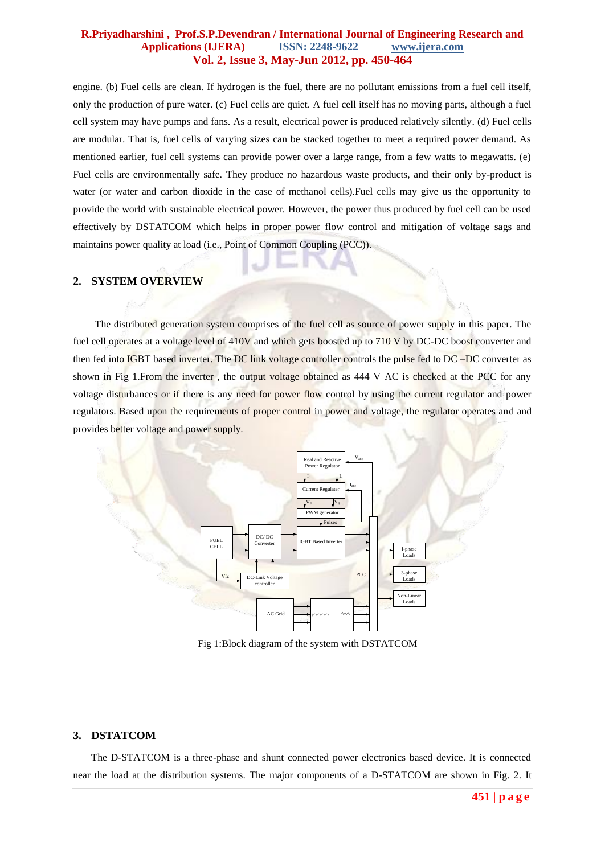engine. (b) Fuel cells are clean. If hydrogen is the fuel, there are no pollutant emissions from a fuel cell itself, only the production of pure water. (c) Fuel cells are quiet. A fuel cell itself has no moving parts, although a fuel cell system may have pumps and fans. As a result, electrical power is produced relatively silently. (d) Fuel cells are modular. That is, fuel cells of varying sizes can be stacked together to meet a required power demand. As mentioned earlier, fuel cell systems can provide power over a large range, from a few watts to megawatts. (e) Fuel cells are environmentally safe. They produce no hazardous waste products, and their only by-product is water (or water and carbon dioxide in the case of methanol cells).Fuel cells may give us the opportunity to provide the world with sustainable electrical power. However, the power thus produced by fuel cell can be used effectively by DSTATCOM which helps in proper power flow control and mitigation of voltage sags and maintains power quality at load (i.e., Point of Common Coupling (PCC)).

### **2. SYSTEM OVERVIEW**

The distributed generation system comprises of the fuel cell as source of power supply in this paper. The fuel cell operates at a voltage level of 410V and which gets boosted up to 710 V by DC-DC boost converter and then fed into IGBT based inverter. The DC link voltage controller controls the pulse fed to DC –DC converter as shown in Fig 1.From the inverter , the output voltage obtained as 444 V AC is checked at the PCC for any voltage disturbances or if there is any need for power flow control by using the current regulator and power regulators. Based upon the requirements of proper control in power and voltage, the regulator operates and and provides better voltage and power supply.



Fig 1:Block diagram of the system with DSTATCOM

### **3. DSTATCOM**

The D-STATCOM is a three-phase and shunt connected power electronics based device. It is connected near the load at the distribution systems. The major components of a D-STATCOM are shown in Fig. 2. It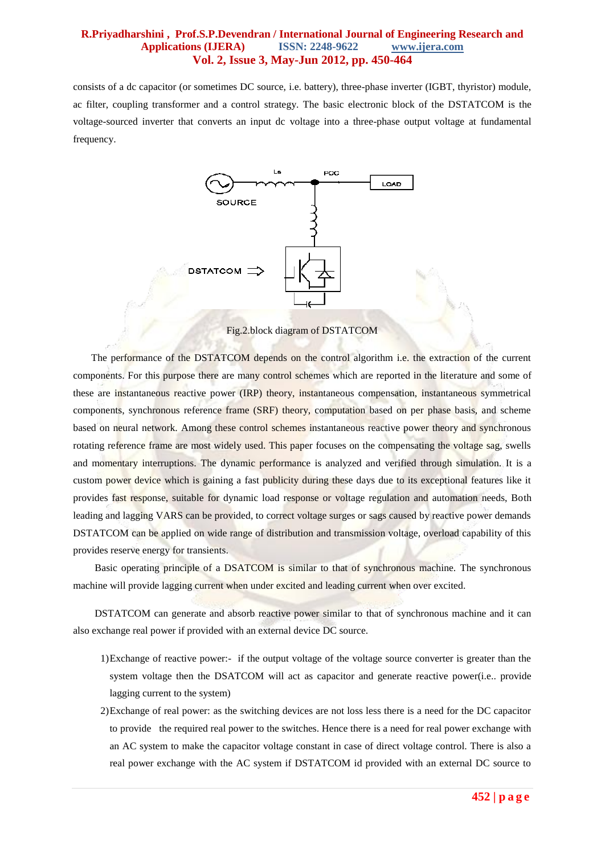consists of a dc capacitor (or sometimes DC source, i.e. battery), three-phase inverter (IGBT, thyristor) module, ac filter, coupling transformer and a control strategy. The basic electronic block of the DSTATCOM is the voltage-sourced inverter that converts an input dc voltage into a three-phase output voltage at fundamental frequency.



Fig.2.block diagram of DSTATCOM

The performance of the DSTATCOM depends on the control algorithm i.e. the extraction of the current components. For this purpose there are many control schemes which are reported in the literature and some of these are instantaneous reactive power (IRP) theory, instantaneous compensation, instantaneous symmetrical components, synchronous reference frame (SRF) theory, computation based on per phase basis, and scheme based on neural network. Among these control schemes instantaneous reactive power theory and synchronous rotating reference frame are most widely used. This paper focuses on the compensating the voltage sag, swells and momentary interruptions. The dynamic performance is analyzed and verified through simulation. It is a custom power device which is gaining a fast publicity during these days due to its exceptional features like it provides fast response, suitable for dynamic load response or voltage regulation and automation needs, Both leading and lagging VARS can be provided, to correct voltage surges or sags caused by reactive power demands DSTATCOM can be applied on wide range of distribution and transmission voltage, overload capability of this provides reserve energy for transients.

Basic operating principle of a DSATCOM is similar to that of synchronous machine. The synchronous machine will provide lagging current when under excited and leading current when over excited.

DSTATCOM can generate and absorb reactive power similar to that of synchronous machine and it can also exchange real power if provided with an external device DC source.

- 1)Exchange of reactive power:- if the output voltage of the voltage source converter is greater than the system voltage then the DSATCOM will act as capacitor and generate reactive power(i.e.. provide lagging current to the system)
- 2)Exchange of real power: as the switching devices are not loss less there is a need for the DC capacitor to provide the required real power to the switches. Hence there is a need for real power exchange with an AC system to make the capacitor voltage constant in case of direct voltage control. There is also a real power exchange with the AC system if DSTATCOM id provided with an external DC source to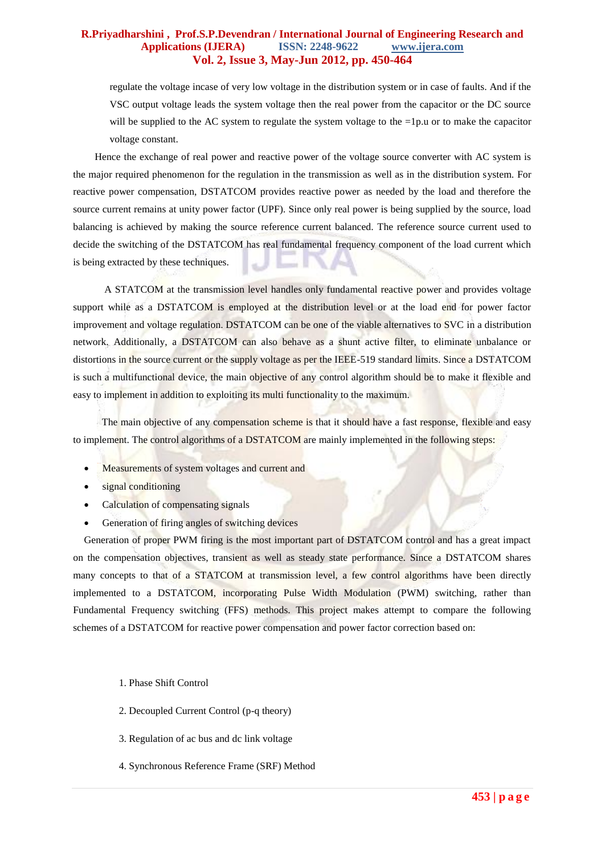regulate the voltage incase of very low voltage in the distribution system or in case of faults. And if the VSC output voltage leads the system voltage then the real power from the capacitor or the DC source will be supplied to the AC system to regulate the system voltage to the =1p.u or to make the capacitor voltage constant.

Hence the exchange of real power and reactive power of the voltage source converter with AC system is the major required phenomenon for the regulation in the transmission as well as in the distribution system. For reactive power compensation, DSTATCOM provides reactive power as needed by the load and therefore the source current remains at unity power factor (UPF). Since only real power is being supplied by the source, load balancing is achieved by making the source reference current balanced. The reference source current used to decide the switching of the DSTATCOM has real fundamental frequency component of the load current which is being extracted by these techniques.

A STATCOM at the transmission level handles only fundamental reactive power and provides voltage support while as a DSTATCOM is employed at the distribution level or at the load end for power factor improvement and voltage regulation. DSTATCOM can be one of the viable alternatives to SVC in a distribution network. Additionally, a DSTATCOM can also behave as a shunt active filter, to eliminate unbalance or distortions in the source current or the supply voltage as per the IEEE-519 standard limits. Since a DSTATCOM is such a multifunctional device, the main objective of any control algorithm should be to make it flexible and easy to implement in addition to exploiting its multi functionality to the maximum.

The main objective of any compensation scheme is that it should have a fast response, flexible and easy to implement. The control algorithms of a DSTATCOM are mainly implemented in the following steps:

- Measurements of system voltages and current and
- signal conditioning
- Calculation of compensating signals
- Generation of firing angles of switching devices

Generation of proper PWM firing is the most important part of DSTATCOM control and has a great impact on the compensation objectives, transient as well as steady state performance. Since a DSTATCOM shares many concepts to that of a STATCOM at transmission level, a few control algorithms have been directly implemented to a DSTATCOM, incorporating Pulse Width Modulation (PWM) switching, rather than Fundamental Frequency switching (FFS) methods. This project makes attempt to compare the following schemes of a DSTATCOM for reactive power compensation and power factor correction based on:

- 1. Phase Shift Control
- 2. Decoupled Current Control (p-q theory)
- 3. Regulation of ac bus and dc link voltage
- 4. Synchronous Reference Frame (SRF) Method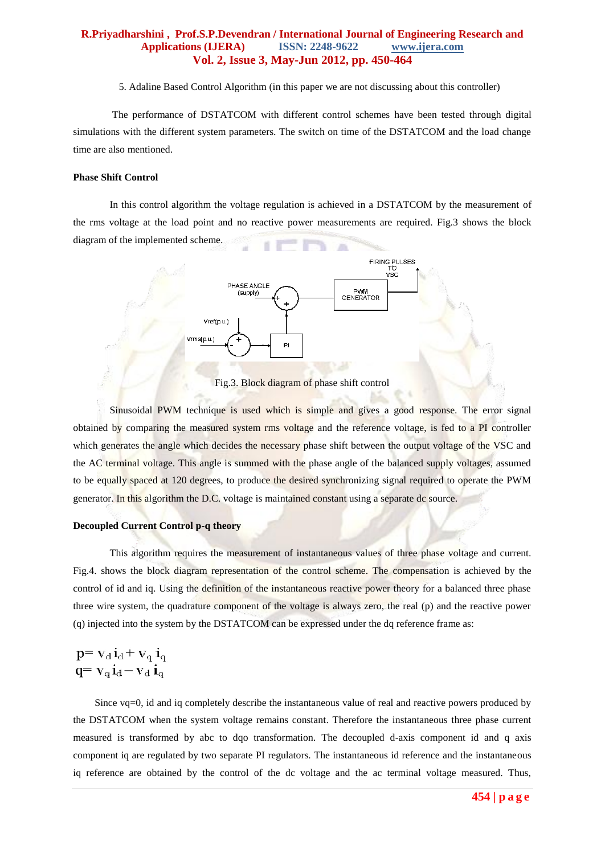5. Adaline Based Control Algorithm (in this paper we are not discussing about this controller)

The performance of DSTATCOM with different control schemes have been tested through digital simulations with the different system parameters. The switch on time of the DSTATCOM and the load change time are also mentioned.

### **Phase Shift Control**

In this control algorithm the voltage regulation is achieved in a DSTATCOM by the measurement of the rms voltage at the load point and no reactive power measurements are required. Fig.3 shows the block diagram of the implemented scheme. m



Fig.3. Block diagram of phase shift control

Sinusoidal PWM technique is used which is simple and gives a good response. The error signal obtained by comparing the measured system rms voltage and the reference voltage, is fed to a PI controller which generates the angle which decides the necessary phase shift between the output voltage of the VSC and the AC terminal voltage. This angle is summed with the phase angle of the balanced supply voltages, assumed to be equally spaced at 120 degrees, to produce the desired synchronizing signal required to operate the PWM generator. In this algorithm the D.C. voltage is maintained constant using a separate dc source.

#### **Decoupled Current Control p-q theory**

This algorithm requires the measurement of instantaneous values of three phase voltage and current. Fig.4. shows the block diagram representation of the control scheme. The compensation is achieved by the control of id and iq. Using the definition of the instantaneous reactive power theory for a balanced three phase three wire system, the quadrature component of the voltage is always zero, the real (p) and the reactive power (q) injected into the system by the DSTATCOM can be expressed under the dq reference frame as:

$$
\begin{array}{c} p = \mathbf{v}_d \, \mathbf{i}_d + \mathbf{v}_q \, \mathbf{i}_q \\ q = \mathbf{v}_q \, \mathbf{i}_d - \mathbf{v}_d \, \mathbf{i}_q \end{array}
$$

Since vq=0, id and iq completely describe the instantaneous value of real and reactive powers produced by the DSTATCOM when the system voltage remains constant. Therefore the instantaneous three phase current measured is transformed by abc to dqo transformation. The decoupled d-axis component id and q axis component iq are regulated by two separate PI regulators. The instantaneous id reference and the instantaneous iq reference are obtained by the control of the dc voltage and the ac terminal voltage measured. Thus,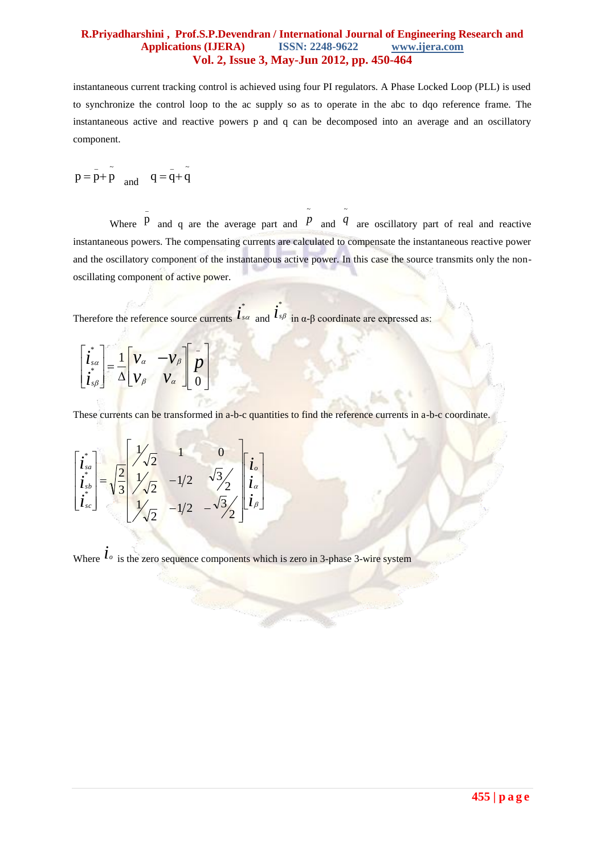instantaneous current tracking control is achieved using four PI regulators. A Phase Locked Loop (PLL) is used to synchronize the control loop to the ac supply so as to operate in the abc to dqo reference frame. The instantaneous active and reactive powers p and q can be decomposed into an average and an oscillatory component.

$$
p=\overset{\_}{p}+\overset{\_}{p}\quad \text{and}\quad q=\overset{\_}{q}+\overset{\_}{q}
$$

\_

Where  $\overline{P}$  and q are the average part and  $\overline{P}$  and  $\overline{q}$  are oscillatory part of real and reactive instantaneous powers. The compensating currents are calculated to compensate the instantaneous reactive power and the oscillatory component of the instantaneous active power. In this case the source transmits only the nonoscillating component of active power.

~

~

Therefore the reference source currents  $\vec{l}$ <sup>\*</sup>  $\alpha$  and  $\boldsymbol{i}^*$  $\beta$  in α-β coordinate are expressed as:

$$
\begin{bmatrix} \vec{i}_{sa} \\ \vec{i}_{s\beta} \end{bmatrix} = \frac{1}{\Delta} \begin{bmatrix} \mathcal{V}_{\alpha} & -\mathcal{V}_{\beta} \\ \mathcal{V}_{\beta} & \mathcal{V}_{\alpha} \end{bmatrix} \begin{bmatrix} - \\ \mathcal{P} \\ 0 \end{bmatrix}
$$

These currents can be transformed in a-b-c quantities to find the reference currents in a-b-c coordinate.

$$
\begin{bmatrix} \vec{t}_{sa} \\ \vec{t}_{sb} \\ \vec{t}_{sc} \end{bmatrix} = \sqrt{\frac{2}{3}} \begin{bmatrix} 1/2 & 1 & 0 \\ 1/2 & -1/2 & \sqrt{3}/2 \\ 1/2 & -1/2 & -\sqrt{3}/2 \end{bmatrix} \begin{bmatrix} \vec{t}_{o} \\ \vec{t}_{a} \\ \vec{t}_{s} \end{bmatrix}
$$

Where  $\hat{i}_{\text{o}}$  is the zero sequence components which is zero in 3-phase 3-wire system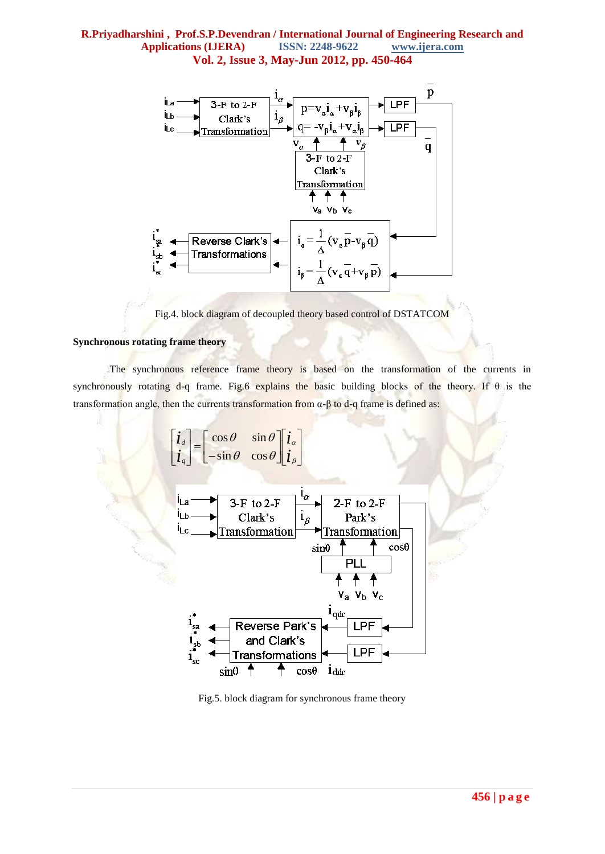

Fig.4. block diagram of decoupled theory based control of DSTATCOM

### **Synchronous rotating frame theory**

The synchronous reference frame theory is based on the transformation of the currents in synchronously rotating d-q frame. Fig.6 explains the basic building blocks of the theory. If θ is the transformation angle, then the currents transformation from  $\alpha$ -β to d-q frame is defined as:

$$
\begin{bmatrix} \boldsymbol{i}_d \\ \boldsymbol{i}_q \end{bmatrix} = \begin{bmatrix} \cos \theta & \sin \theta \\ -\sin \theta & \cos \theta \end{bmatrix} \begin{bmatrix} \boldsymbol{i}_\alpha \\ \boldsymbol{i}_\beta \end{bmatrix}
$$



Fig.5. block diagram for synchronous frame theory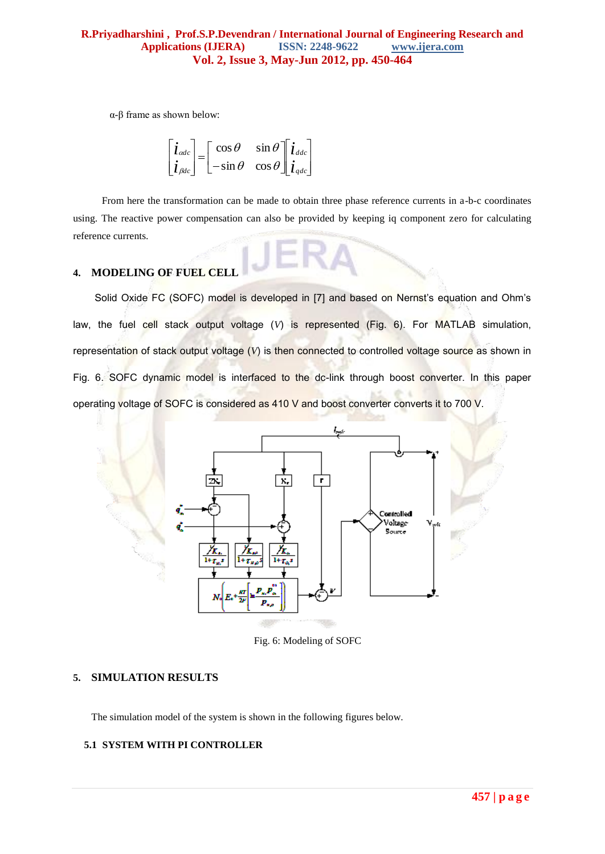α-β frame as shown below:

| $\big  \textit{\textbf{i}}_{\textit{adc}} \big $             |  | $\cos \theta$   | $\sin\theta\ \ \ \boldsymbol{\dot{ l}}_{ddc}\ $ |  |
|--------------------------------------------------------------|--|-----------------|-------------------------------------------------|--|
| $\mid \boldsymbol{i}_{\scriptscriptstyle\mathcal{B}dc} \mid$ |  | $- \sin \theta$ | $\cos\theta\,\ \,\boldsymbol{\dot{ l}}_{qdc}\ $ |  |

From here the transformation can be made to obtain three phase reference currents in a-b-c coordinates using. The reactive power compensation can also be provided by keeping iq component zero for calculating reference currents.

# **4. MODELING OF FUEL CELL**

Solid Oxide FC (SOFC) model is developed in [7] and based on Nernst's equation and Ohm's law, the fuel cell stack output voltage (*V*) is represented (Fig. 6). For MATLAB simulation, representation of stack output voltage (*V*) is then connected to controlled voltage source as shown in Fig. 6. SOFC dynamic model is interfaced to the dc-link through boost converter. In this paper operating voltage of SOFC is considered as 410 V and boost converter converts it to 700 V.



Fig. 6: Modeling of SOFC

### **5. SIMULATION RESULTS**

The simulation model of the system is shown in the following figures below.

### **5.1 SYSTEM WITH PI CONTROLLER**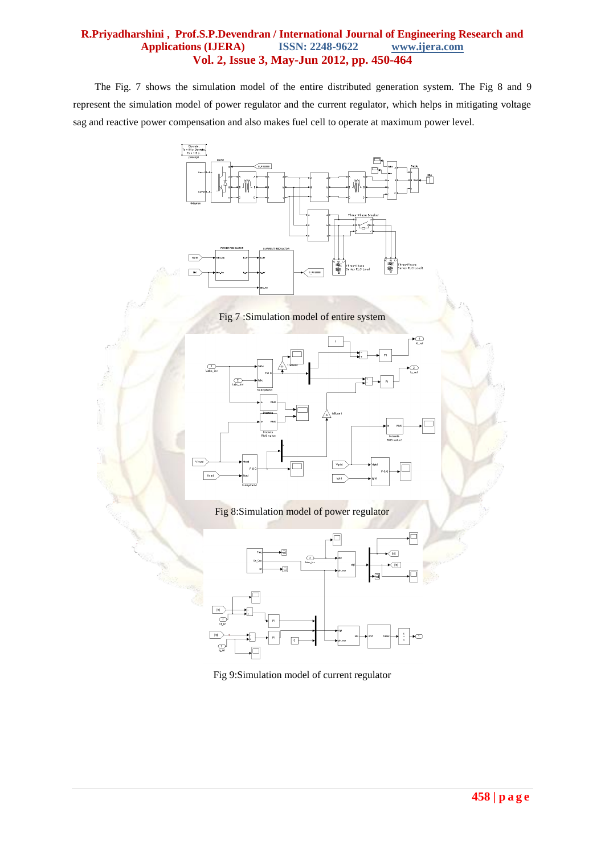The Fig. 7 shows the simulation model of the entire distributed generation system. The Fig 8 and 9 represent the simulation model of power regulator and the current regulator, which helps in mitigating voltage sag and reactive power compensation and also makes fuel cell to operate at maximum power level.



Fig 9:Simulation model of current regulator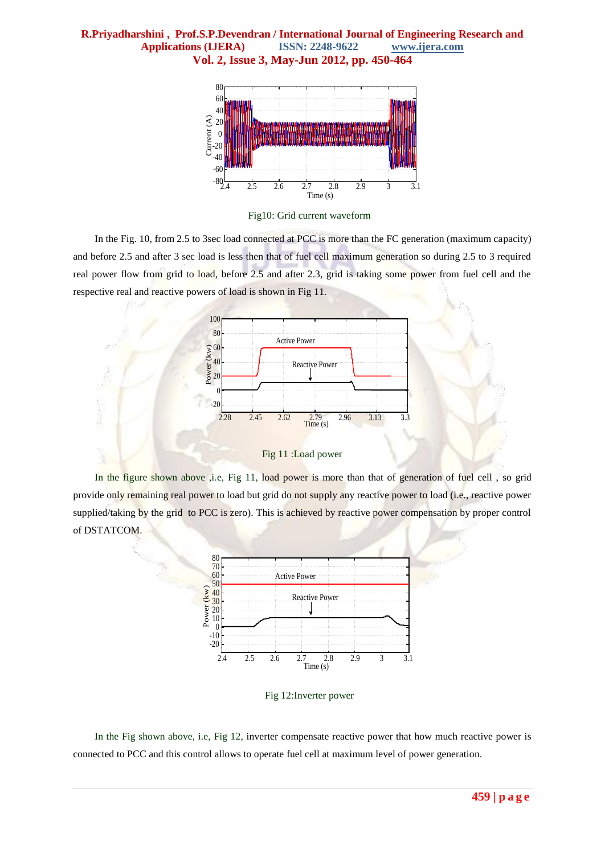

Fig10: Grid current waveform

In the Fig. 10, from 2.5 to 3sec load connected at PCC is more than the FC generation (maximum capacity) and before 2.5 and after 3 sec load is less then that of fuel cell maximum generation so during 2.5 to 3 required real power flow from grid to load, before 2.5 and after 2.3, grid is taking some power from fuel cell and the respective real and reactive powers of load is shown in Fig 11.



In the figure shown above ,i.e, Fig 11, load power is more than that of generation of fuel cell, so grid provide only remaining real power to load but grid do not supply any reactive power to load (i.e., reactive power supplied/taking by the grid to PCC is zero). This is achieved by reactive power compensation by proper control of DSTATCOM.



Fig 12:Inverter power

In the Fig shown above, i.e, Fig 12, inverter compensate reactive power that how much reactive power is connected to PCC and this control allows to operate fuel cell at maximum level of power generation.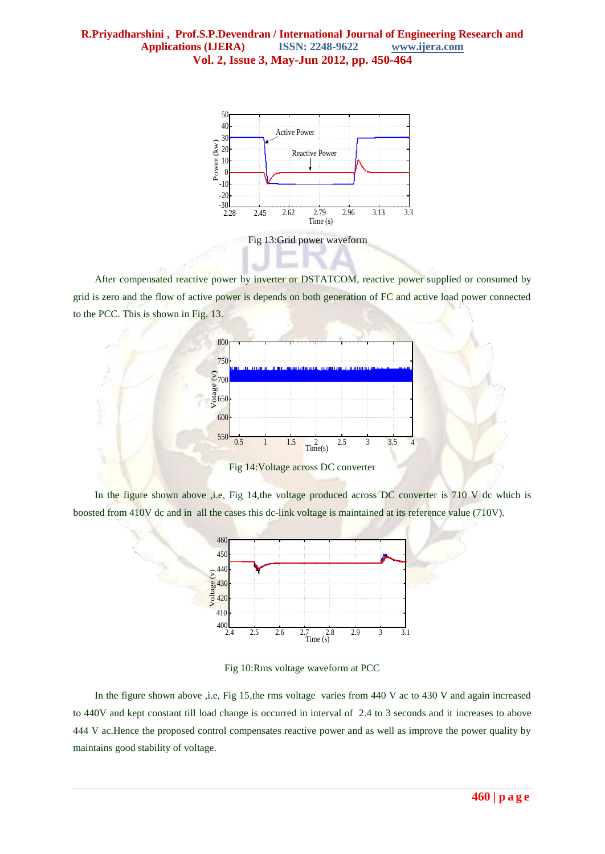

After compensated reactive power by inverter or DSTATCOM, reactive power supplied or consumed by grid is zero and the flow of active power is depends on both generation of FC and active load power connected to the PCC. This is shown in Fig. 13.



In the figure shown above ,i.e, Fig 14,the voltage produced across DC converter is 710 V dc which is boosted from 410V dc and in all the cases this dc-link voltage is maintained at its reference value (710V).



Fig 10:Rms voltage waveform at PCC

In the figure shown above ,i.e, Fig 15,the rms voltage varies from 440 V ac to 430 V and again increased to 440V and kept constant till load change is occurred in interval of 2.4 to 3 seconds and it increases to above 444 V ac.Hence the proposed control compensates reactive power and as well as improve the power quality by maintains good stability of voltage.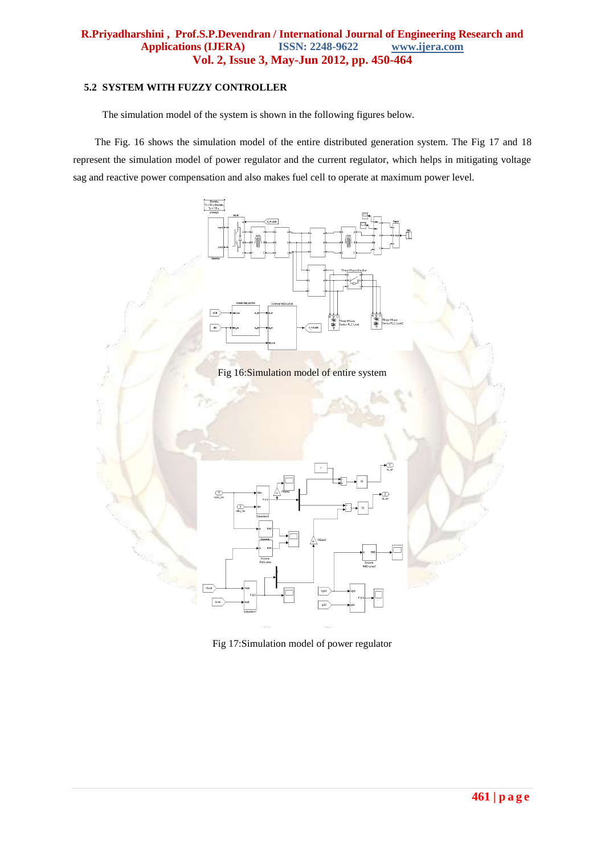### **5.2 SYSTEM WITH FUZZY CONTROLLER**

The simulation model of the system is shown in the following figures below.

The Fig. 16 shows the simulation model of the entire distributed generation system. The Fig 17 and 18 represent the simulation model of power regulator and the current regulator, which helps in mitigating voltage sag and reactive power compensation and also makes fuel cell to operate at maximum power level.



Fig 17:Simulation model of power regulator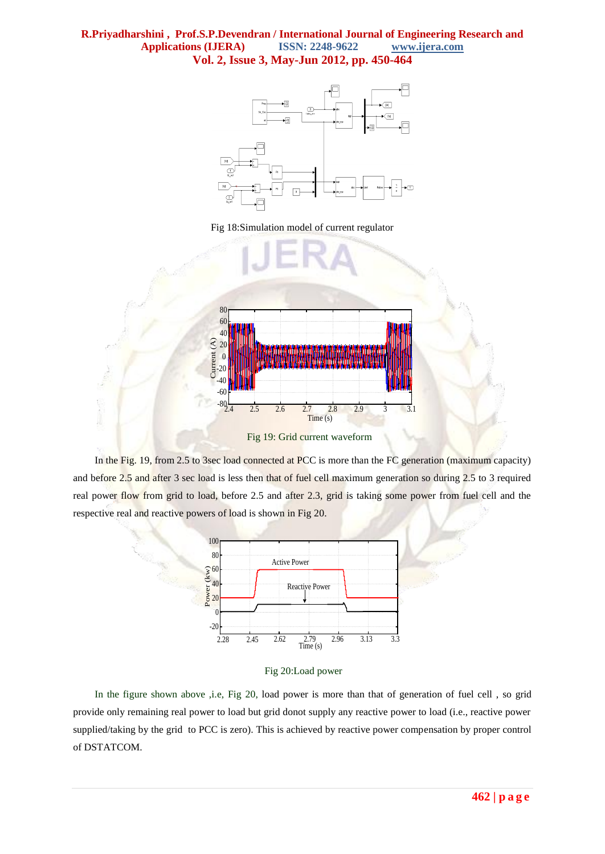

Fig 18:Simulation model of current regulator





In the Fig. 19, from 2.5 to 3sec load connected at PCC is more than the FC generation (maximum capacity) and before 2.5 and after 3 sec load is less then that of fuel cell maximum generation so during 2.5 to 3 required real power flow from grid to load, before 2.5 and after 2.3, grid is taking some power from fuel cell and the respective real and reactive powers of load is shown in Fig 20.



Fig 20:Load power

In the figure shown above ,i.e, Fig 20, load power is more than that of generation of fuel cell, so grid provide only remaining real power to load but grid donot supply any reactive power to load (i.e., reactive power supplied/taking by the grid to PCC is zero). This is achieved by reactive power compensation by proper control of DSTATCOM.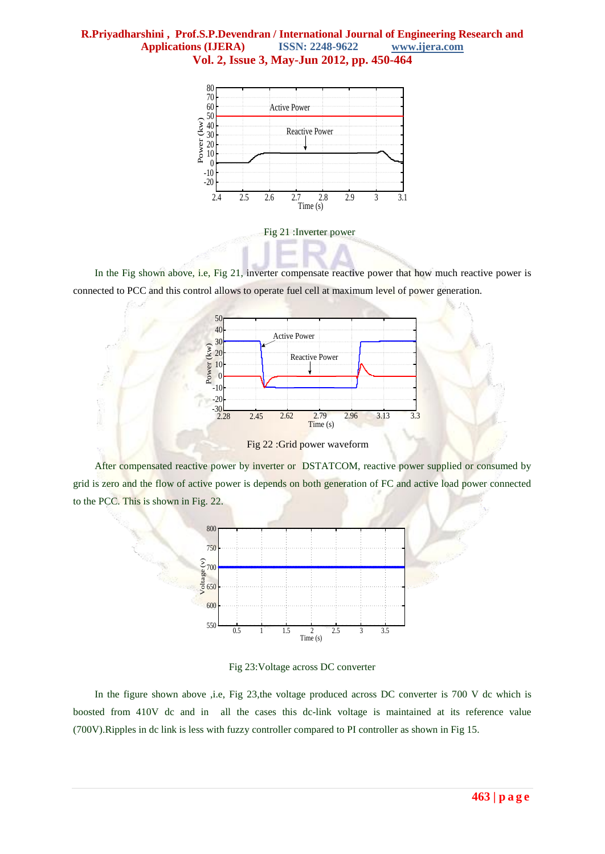

Fig 21 :Inverter power

In the Fig shown above, i.e, Fig 21, inverter compensate reactive power that how much reactive power is connected to PCC and this control allows to operate fuel cell at maximum level of power generation.



After compensated reactive power by inverter or DSTATCOM, reactive power supplied or consumed by grid is zero and the flow of active power is depends on both generation of FC and active load power connected to the PCC. This is shown in Fig. 22.



Fig 23:Voltage across DC converter

In the figure shown above ,i.e, Fig 23,the voltage produced across DC converter is 700 V dc which is boosted from 410V dc and in all the cases this dc-link voltage is maintained at its reference value (700V).Ripples in dc link is less with fuzzy controller compared to PI controller as shown in Fig 15.